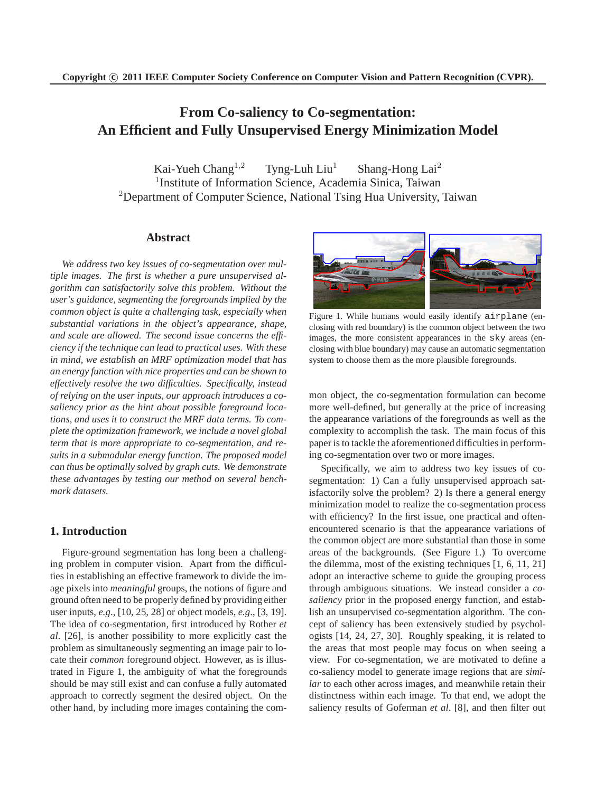# **From Co-saliency to Co-segmentation: An Efficient and Fully Unsupervised Energy Minimization Model**

Kai-Yueh Chang<sup>1,2</sup> Tyng-Luh Liu<sup>1</sup> Shang-Hong Lai<sup>2</sup> <sup>1</sup>Institute of Information Science, Academia Sinica, Taiwan <sup>2</sup>Department of Computer Science, National Tsing Hua University, Taiwan

## **Abstract**

*We address two key issues of co-segmentation over multiple images. The first is whether a pure unsupervised algorithm can satisfactorily solve this problem. Without the user's guidance, segmenting the foregrounds implied by the common object is quite a challenging task, especially when substantial variations in the object's appearance, shape, and scale are allowed. The second issue concerns the efficiency if the technique can lead to practical uses. With these in mind, we establish an MRF optimization model that has an energy function with nice properties and can be shown to effectively resolve the two difficulties. Specifically, instead of relying on the user inputs, our approach introduces a cosaliency prior as the hint about possible foreground locations, and uses it to construct the MRF data terms. To complete the optimization framework, we include a novel global term that is more appropriate to co-segmentation, and results in a submodular energy function. The proposed model can thus be optimally solved by graph cuts. We demonstrate these advantages by testing our method on several benchmark datasets.*

# **1. Introduction**

Figure-ground segmentation has long been a challenging problem in computer vision. Apart from the difficulties in establishing an effective framework to divide the image pixels into *meaningful* groups, the notions of figure and ground often need to be properly defined by providing either user inputs, *e.g*., [10, 25, 28] or object models, *e.g*., [3, 19]. The idea of co-segmentation, first introduced by Rother *et al*. [26], is another possibility to more explicitly cast the problem as simultaneously segmenting an image pair to locate their *common* foreground object. However, as is illustrated in Figure 1, the ambiguity of what the foregrounds should be may still exist and can confuse a fully automated approach to correctly segment the desired object. On the other hand, by including more images containing the com-



Figure 1. While humans would easily identify airplane (enclosing with red boundary) is the common object between the two images, the more consistent appearances in the sky areas (enclosing with blue boundary) may cause an automatic segmentation system to choose them as the more plausible foregrounds.

mon object, the co-segmentation formulation can become more well-defined, but generally at the price of increasing the appearance variations of the foregrounds as well as the complexity to accomplish the task. The main focus of this paper is to tackle the aforementioned difficulties in performing co-segmentation over two or more images.

Specifically, we aim to address two key issues of cosegmentation: 1) Can a fully unsupervised approach satisfactorily solve the problem? 2) Is there a general energy minimization model to realize the co-segmentation process with efficiency? In the first issue, one practical and oftenencountered scenario is that the appearance variations of the common object are more substantial than those in some areas of the backgrounds. (See Figure 1.) To overcome the dilemma, most of the existing techniques [1, 6, 11, 21] adopt an interactive scheme to guide the grouping process through ambiguous situations. We instead consider a *cosaliency* prior in the proposed energy function, and establish an unsupervised co-segmentation algorithm. The concept of saliency has been extensively studied by psychologists [14, 24, 27, 30]. Roughly speaking, it is related to the areas that most people may focus on when seeing a view. For co-segmentation, we are motivated to define a co-saliency model to generate image regions that are *similar* to each other across images, and meanwhile retain their distinctness within each image. To that end, we adopt the saliency results of Goferman *et al*. [8], and then filter out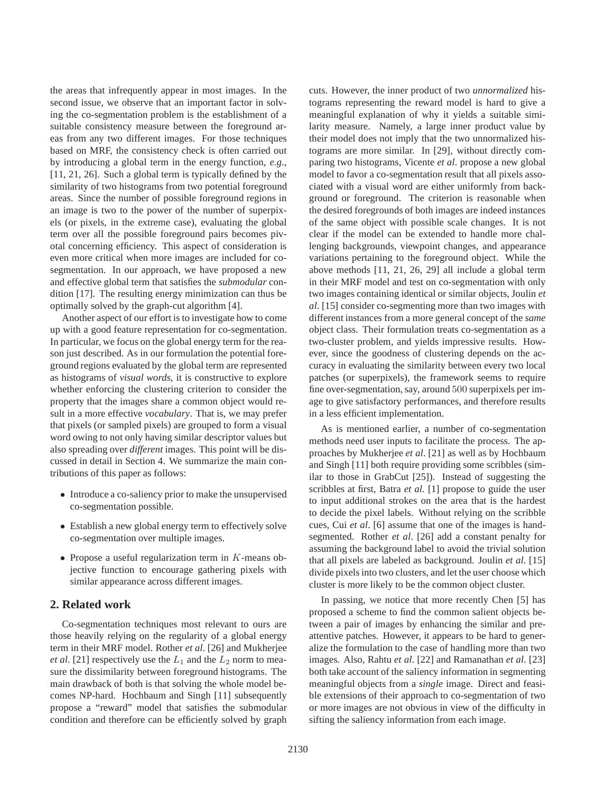the areas that infrequently appear in most images. In the second issue, we observe that an important factor in solving the co-segmentation problem is the establishment of a suitable consistency measure between the foreground areas from any two different images. For those techniques based on MRF, the consistency check is often carried out by introducing a global term in the energy function, *e.g*., [11, 21, 26]. Such a global term is typically defined by the similarity of two histograms from two potential foreground areas. Since the number of possible foreground regions in an image is two to the power of the number of superpixels (or pixels, in the extreme case), evaluating the global term over all the possible foreground pairs becomes pivotal concerning efficiency. This aspect of consideration is even more critical when more images are included for cosegmentation. In our approach, we have proposed a new and effective global term that satisfies the *submodular* condition [17]. The resulting energy minimization can thus be optimally solved by the graph-cut algorithm [4].

Another aspect of our effort is to investigate how to come up with a good feature representation for co-segmentation. In particular, we focus on the global energy term for the reason just described. As in our formulation the potential foreground regions evaluated by the global term are represented as histograms of *visual words*, it is constructive to explore whether enforcing the clustering criterion to consider the property that the images share a common object would result in a more effective *vocabulary*. That is, we may prefer that pixels (or sampled pixels) are grouped to form a visual word owing to not only having similar descriptor values but also spreading over *different* images. This point will be discussed in detail in Section 4. We summarize the main contributions of this paper as follows:

- Introduce a co-saliency prior to make the unsupervised co-segmentation possible.
- Establish a new global energy term to effectively solve co-segmentation over multiple images.
- Propose a useful regularization term in  $K$ -means objective function to encourage gathering pixels with similar appearance across different images.

# **2. Related work**

Co-segmentation techniques most relevant to ours are those heavily relying on the regularity of a global energy term in their MRF model. Rother *et al*. [26] and Mukherjee *et al.* [21] respectively use the  $L_1$  and the  $L_2$  norm to measure the dissimilarity between foreground histograms. The main drawback of both is that solving the whole model becomes NP-hard. Hochbaum and Singh [11] subsequently propose a "reward" model that satisfies the submodular condition and therefore can be efficiently solved by graph cuts. However, the inner product of two *unnormalized* histograms representing the reward model is hard to give a meaningful explanation of why it yields a suitable similarity measure. Namely, a large inner product value by their model does not imply that the two unnormalized histograms are more similar. In [29], without directly comparing two histograms, Vicente *et al*. propose a new global model to favor a co-segmentation result that all pixels associated with a visual word are either uniformly from background or foreground. The criterion is reasonable when the desired foregrounds of both images are indeed instances of the same object with possible scale changes. It is not clear if the model can be extended to handle more challenging backgrounds, viewpoint changes, and appearance variations pertaining to the foreground object. While the above methods [11, 21, 26, 29] all include a global term in their MRF model and test on co-segmentation with only two images containing identical or similar objects, Joulin *et al*. [15] consider co-segmenting more than two images with different instances from a more general concept of the *same* object class. Their formulation treats co-segmentation as a two-cluster problem, and yields impressive results. However, since the goodness of clustering depends on the accuracy in evaluating the similarity between every two local patches (or superpixels), the framework seems to require fine over-segmentation, say, around 500 superpixels per image to give satisfactory performances, and therefore results in a less efficient implementation.

As is mentioned earlier, a number of co-segmentation methods need user inputs to facilitate the process. The approaches by Mukherjee *et al*. [21] as well as by Hochbaum and Singh [11] both require providing some scribbles (similar to those in GrabCut [25]). Instead of suggesting the scribbles at first, Batra *et al*. [1] propose to guide the user to input additional strokes on the area that is the hardest to decide the pixel labels. Without relying on the scribble cues, Cui *et al*. [6] assume that one of the images is handsegmented. Rother *et al*. [26] add a constant penalty for assuming the background label to avoid the trivial solution that all pixels are labeled as background. Joulin *et al*. [15] divide pixels into two clusters, and let the user choose which cluster is more likely to be the common object cluster.

In passing, we notice that more recently Chen [5] has proposed a scheme to find the common salient objects between a pair of images by enhancing the similar and preattentive patches. However, it appears to be hard to generalize the formulation to the case of handling more than two images. Also, Rahtu *et al*. [22] and Ramanathan *et al*. [23] both take account of the saliency information in segmenting meaningful objects from a *single* image. Direct and feasible extensions of their approach to co-segmentation of two or more images are not obvious in view of the difficulty in sifting the saliency information from each image.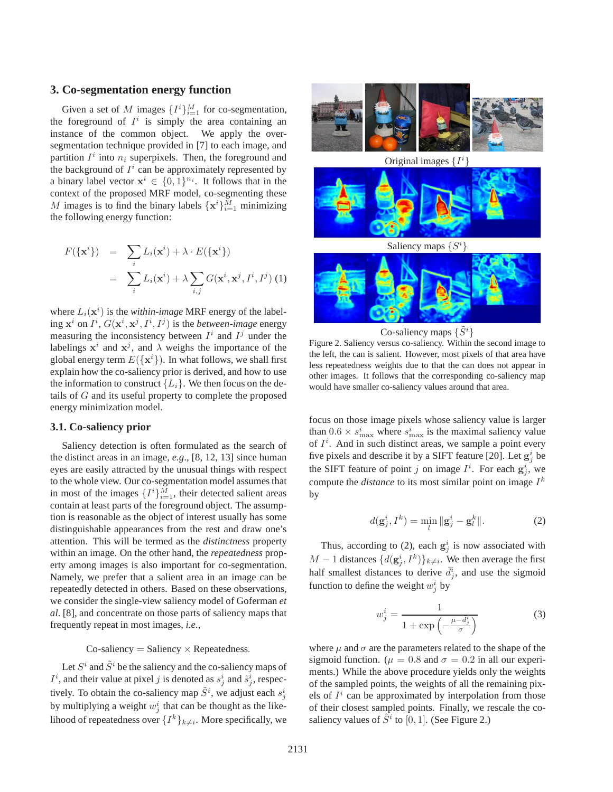## **3. Co-segmentation energy function**

Given a set of M images  $\{I^i\}_{i=1}^M$  for co-segmentation, the foreground of  $I^i$  is simply the area containing an instance of the common object. We apply the oversegmentation technique provided in [7] to each image, and partition  $I^i$  into  $n_i$  superpixels. Then, the foreground and the background of  $I^i$  can be approximately represented by a binary label vector  $x^i \in \{0,1\}^{n_i}$ . It follows that in the context of the proposed MRF model, co-segmenting these M images is to find the binary labels  $\{x^i\}_{i=1}^M$  minimizing the following energy function:

$$
F(\{\mathbf{x}^{i}\}) = \sum_{i} L_{i}(\mathbf{x}^{i}) + \lambda \cdot E(\{\mathbf{x}^{i}\})
$$

$$
= \sum_{i} L_{i}(\mathbf{x}^{i}) + \lambda \sum_{i,j} G(\mathbf{x}^{i}, \mathbf{x}^{j}, I^{i}, I^{j})
$$
(1)

where  $L_i(\mathbf{x}^i)$  is the *within-image* MRF energy of the labeling  $\mathbf{x}^i$  on  $I^i$ ,  $G(\mathbf{x}^i, \mathbf{x}^j, I^i, I^j)$  is the *between-image* energy measuring the inconsistency between  $I^i$  and  $I^j$  under the labelings  $x^i$  and  $x^j$ , and  $\lambda$  weighs the importance of the global energy term  $E({\{\mathbf{x}^i\}})$ . In what follows, we shall first explain how the co-saliency prior is derived, and how to use the information to construct  ${L_i}$ . We then focus on the details of G and its useful property to complete the proposed energy minimization model.

#### **3.1. Co-saliency prior**

Saliency detection is often formulated as the search of the distinct areas in an image, *e.g*., [8, 12, 13] since human eyes are easily attracted by the unusual things with respect to the whole view. Our co-segmentation model assumes that in most of the images  $\{I^i\}_{i=1}^M$ , their detected salient areas contain at least parts of the foreground object. The assumption is reasonable as the object of interest usually has some distinguishable appearances from the rest and draw one's attention. This will be termed as the *distinctness* property within an image. On the other hand, the *repeatedness* property among images is also important for co-segmentation. Namely, we prefer that a salient area in an image can be repeatedly detected in others. Based on these observations, we consider the single-view saliency model of Goferman *et al*. [8], and concentrate on those parts of saliency maps that frequently repeat in most images, *i.e*.,

 $Co$ -saliency = Saliency  $\times$  Repeatedness.

Let  $S^i$  and  $\tilde{S}^i$  be the saliency and the co-saliency maps of  $I^i$ , and their value at pixel j is denoted as  $s_j^i$  and  $\tilde{s}_j^i$ , respectively. To obtain the co-saliency map  $\tilde{S}^i$ , we adjust each  $s_j^i$ by multiplying a weight  $w_j^i$  that can be thought as the likelihood of repeatedness over  $\{I^k\}_{k\neq i}$ . More specifically, we



Original images  $\{I^i\}$ 



Saliency maps  $\{S^i\}$ 



Co-saliency maps  $\{\tilde{S}^i\}$ 

Figure 2. Saliency versus co-saliency. Within the second image to the left, the can is salient. However, most pixels of that area have less repeatedness weights due to that the can does not appear in other images. It follows that the corresponding co-saliency map would have smaller co-saliency values around that area.

focus on those image pixels whose saliency value is larger than  $0.6 \times s_{\text{max}}^i$  where  $s_{\text{max}}^i$  is the maximal saliency value of  $I^i$ . And in such distinct areas, we sample a point every five pixels and describe it by a SIFT feature [20]. Let  $g_j^i$  be the SIFT feature of point j on image  $I^i$ . For each  $g^i_j$ , we compute the *distance* to its most similar point on image  $I^k$ by

$$
d(\mathbf{g}_j^i, I^k) = \min_l \|\mathbf{g}_j^i - \mathbf{g}_l^k\|.
$$
 (2)

Thus, according to (2), each  $g_j^i$  is now associated with  $M-1$  distances  $\{d(g_j^i, I^k)\}_{k\neq i}$ . We then average the first half smallest distances to derive  $\overline{d}_j^i$ , and use the sigmoid function to define the weight  $w_j^i$  by

$$
w_j^i = \frac{1}{1 + \exp\left(-\frac{\mu - \bar{d}_j^i}{\sigma}\right)}\tag{3}
$$

where  $\mu$  and  $\sigma$  are the parameters related to the shape of the sigmoid function. ( $\mu = 0.8$  and  $\sigma = 0.2$  in all our experiments.) While the above procedure yields only the weights of the sampled points, the weights of all the remaining pixels of  $I^i$  can be approximated by interpolation from those of their closest sampled points. Finally, we rescale the cosaliency values of  $\tilde{S}^i$  to [0, 1]. (See Figure 2.)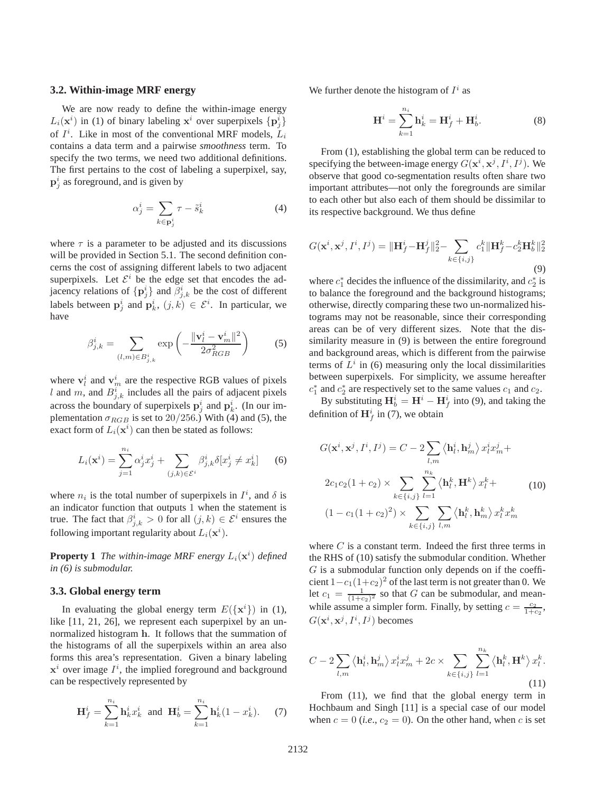#### **3.2. Within-image MRF energy**

We are now ready to define the within-image energy  $L_i(\mathbf{x}^i)$  in (1) of binary labeling  $\mathbf{x}^i$  over superpixels  $\{p_j^i\}$ of  $I^i$ . Like in most of the conventional MRF models,  $L_i$ contains a data term and a pairwise *smoothness* term. To specify the two terms, we need two additional definitions. The first pertains to the cost of labeling a superpixel, say,  $\mathbf{p}_j^i$  as foreground, and is given by

$$
\alpha_j^i = \sum_{k \in \mathbf{p}_j^i} \tau - \tilde{s}_k^i \tag{4}
$$

where  $\tau$  is a parameter to be adjusted and its discussions will be provided in Section 5.1. The second definition concerns the cost of assigning different labels to two adjacent superpixels. Let  $\mathcal{E}^i$  be the edge set that encodes the adjacency relations of  $\{p_j^i\}$  and  $\beta_{j,k}^i$  be the cost of different labels between  $\mathbf{p}_j^i$  and  $\mathbf{p}_k^i$ ,  $(j, k) \in \mathcal{E}^i$ . In particular, we have

$$
\beta_{j,k}^i = \sum_{(l,m)\in B_{j,k}^i} \exp\left(-\frac{\|\mathbf{v}_l^i - \mathbf{v}_m^i\|^2}{2\sigma_{RGB}^2}\right) \tag{5}
$$

where  $\mathbf{v}_l^i$  and  $\mathbf{v}_m^i$  are the respective RGB values of pixels l and m, and  $B_{j,k}^{i}$  includes all the pairs of adjacent pixels across the boundary of superpixels  $\mathbf{p}_j^i$  and  $\mathbf{p}_k^i$ . (In our implementation  $\sigma_{RGB}$  is set to 20/256.) With (4) and (5), the exact form of  $L_i(\mathbf{x}^i)$  can then be stated as follows:

$$
L_i(\mathbf{x}^i) = \sum_{j=1}^{n_i} \alpha_j^i x_j^i + \sum_{(j,k) \in \mathcal{E}^i} \beta_{j,k}^i \delta[x_j^i \neq x_k^i]
$$
 (6)

where  $n_i$  is the total number of superpixels in  $I^i$ , and  $\delta$  is an indicator function that outputs 1 when the statement is true. The fact that  $\beta_{j,k}^i > 0$  for all  $(j,k) \in \mathcal{E}^i$  ensures the following important regularity about  $L_i(\mathbf{x}^i)$ .

**Property 1** The within-image MRF energy  $L_i(\mathbf{x}^i)$  defined *in (6) is submodular.*

#### **3.3. Global energy term**

In evaluating the global energy term  $E({\{\mathbf{x}^i\}})$  in (1), like [11, 21, 26], we represent each superpixel by an unnormalized histogram h. It follows that the summation of the histograms of all the superpixels within an area also forms this area's representation. Given a binary labeling  $x^i$  over image  $I^i$ , the implied foreground and background can be respectively represented by

$$
\mathbf{H}_f^i = \sum_{k=1}^{n_i} \mathbf{h}_k^i x_k^i \text{ and } \mathbf{H}_b^i = \sum_{k=1}^{n_i} \mathbf{h}_k^i (1 - x_k^i). \tag{7}
$$

We further denote the histogram of  $I^i$  as

$$
\mathbf{H}^{i} = \sum_{k=1}^{n_i} \mathbf{h}_k^{i} = \mathbf{H}_f^{i} + \mathbf{H}_b^{i}.
$$
 (8)

From (1), establishing the global term can be reduced to specifying the between-image energy  $G(\mathbf{x}^i, \mathbf{x}^j, I^i, I^j)$ . We observe that good co-segmentation results often share two important attributes—not only the foregrounds are similar to each other but also each of them should be dissimilar to its respective background. We thus define

$$
G(\mathbf{x}^{i}, \mathbf{x}^{j}, I^{i}, I^{j}) = \|\mathbf{H}_{f}^{i} - \mathbf{H}_{f}^{j}\|_{2}^{2} - \sum_{k \in \{i, j\}} c_{1}^{k} \|\mathbf{H}_{f}^{k} - c_{2}^{k} \mathbf{H}_{b}^{k}\|_{2}^{2}
$$
\n(9)

where  $c_1^*$  decides the influence of the dissimilarity, and  $c_2^*$  is to balance the foreground and the background histograms; otherwise, directly comparing these two un-normalized histograms may not be reasonable, since their corresponding areas can be of very different sizes. Note that the dissimilarity measure in (9) is between the entire foreground and background areas, which is different from the pairwise terms of  $L<sup>i</sup>$  in (6) measuring only the local dissimilarities between superpixels. For simplicity, we assume hereafter  $c_1^*$  and  $c_2^*$  are respectively set to the same values  $c_1$  and  $c_2$ .

By substituting  $\mathbf{H}_{b}^{i} = \mathbf{H}^{i} - \mathbf{H}_{f}^{i}$  into (9), and taking the definition of  $\mathbf{H}_{f}^{i}$  in (7), we obtain

$$
G(\mathbf{x}^i, \mathbf{x}^j, I^i, I^j) = C - 2 \sum_{l,m} \langle \mathbf{h}_l^i, \mathbf{h}_m^j \rangle x_l^i x_m^j +
$$
  

$$
2c_1c_2(1 + c_2) \times \sum_{k \in \{i,j\}} \sum_{l=1}^{n_k} \langle \mathbf{h}_l^k, \mathbf{H}^k \rangle x_l^k +
$$
  

$$
(1 - c_1(1 + c_2)^2) \times \sum_{k \in \{i,j\}} \sum_{l,m} \langle \mathbf{h}_l^k, \mathbf{h}_m^k \rangle x_l^k x_m^k
$$
 (10)

where  $C$  is a constant term. Indeed the first three terms in the RHS of (10) satisfy the submodular condition. Whether  $G$  is a submodular function only depends on if the coefficient  $1-c_1(1+c_2)^2$  of the last term is not greater than 0. We let  $c_1 = \frac{1}{(1+c_2)^2}$  so that G can be submodular, and meanwhile assume a simpler form. Finally, by setting  $c = \frac{c_2}{1+c_2}$ ,  $G(\mathbf{x}^i, \mathbf{x}^j, I^i, I^j)$  becomes

$$
C - 2\sum_{l,m} \langle \mathbf{h}_l^i, \mathbf{h}_m^j \rangle x_l^i x_m^j + 2c \times \sum_{k \in \{i,j\}} \sum_{l=1}^{n_k} \langle \mathbf{h}_l^k, \mathbf{H}^k \rangle x_l^k.
$$
\n(11)

From (11), we find that the global energy term in Hochbaum and Singh [11] is a special case of our model when  $c = 0$  (*i.e.*,  $c_2 = 0$ ). On the other hand, when c is set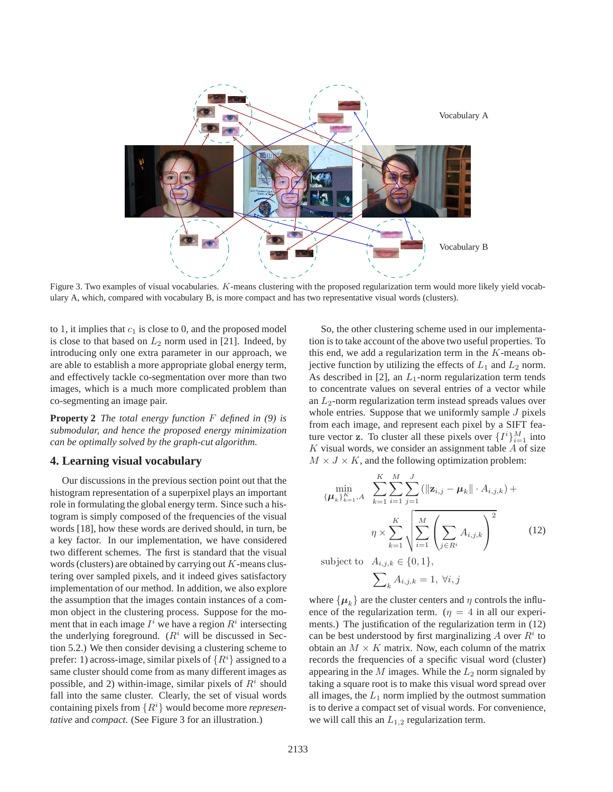

Figure 3. Two examples of visual vocabularies. K-means clustering with the proposed regularization term would more likely yield vocabulary A, which, compared with vocabulary B, is more compact and has two representative visual words (clusters).

to 1, it implies that  $c_1$  is close to 0, and the proposed model is close to that based on  $L_2$  norm used in [21]. Indeed, by introducing only one extra parameter in our approach, we are able to establish a more appropriate global energy term, and effectively tackle co-segmentation over more than two images, which is a much more complicated problem than co-segmenting an image pair.

**Property 2** *The total energy function* F *defined in (9) is submodular, and hence the proposed energy minimization can be optimally solved by the graph-cut algorithm.*

## **4. Learning visual vocabulary**

Our discussions in the previous section point out that the histogram representation of a superpixel plays an important role in formulating the global energy term. Since such a histogram is simply composed of the frequencies of the visual words [18], how these words are derived should, in turn, be a key factor. In our implementation, we have considered two different schemes. The first is standard that the visual words (clusters) are obtained by carrying out  $K$ -means clustering over sampled pixels, and it indeed gives satisfactory implementation of our method. In addition, we also explore the assumption that the images contain instances of a common object in the clustering process. Suppose for the moment that in each image  $I^i$  we have a region  $R^i$  intersecting the underlying foreground.  $(R<sup>i</sup>$  will be discussed in Section 5.2.) We then consider devising a clustering scheme to prefer: 1) across-image, similar pixels of  $\{R^i\}$  assigned to a same cluster should come from as many different images as possible, and 2) within-image, similar pixels of  $R<sup>i</sup>$  should fall into the same cluster. Clearly, the set of visual words containing pixels from {Ri} would become more *representative* and *compact*. (See Figure 3 for an illustration.)

So, the other clustering scheme used in our implementation is to take account of the above two useful properties. To this end, we add a regularization term in the  $K$ -means objective function by utilizing the effects of  $L_1$  and  $L_2$  norm. As described in [2], an  $L_1$ -norm regularization term tends to concentrate values on several entries of a vector while an  $L_2$ -norm regularization term instead spreads values over whole entries. Suppose that we uniformly sample  $J$  pixels from each image, and represent each pixel by a SIFT feature vector **z**. To cluster all these pixels over  $\{I^i\}_{i=1}^M$  into  $K$  visual words, we consider an assignment table  $A$  of size  $M \times J \times K$ , and the following optimization problem:

$$
\min_{\{\mu_k\}_{k=1}^K, A} \sum_{k=1}^K \sum_{i=1}^M \sum_{j=1}^J (\|\mathbf{z}_{i,j} - \mu_k\| \cdot A_{i,j,k}) +
$$
\n
$$
\eta \times \sum_{k=1}^K \sqrt{\sum_{i=1}^M \left(\sum_{j \in R^i} A_{i,j,k}\right)^2}
$$
\nsubject to

\n
$$
A_{i,j,k} \in \{0, 1\},
$$
\n(12)

$$
\sum\nolimits_k A_{i,j,k} = 1, \ \forall i,j
$$

where  $\{\mu_k\}$  are the cluster centers and  $\eta$  controls the influence of the regularization term. ( $\eta = 4$  in all our experiments.) The justification of the regularization term in (12) can be best understood by first marginalizing A over  $R^i$  to obtain an  $M \times K$  matrix. Now, each column of the matrix records the frequencies of a specific visual word (cluster) appearing in the  $M$  images. While the  $L_2$  norm signaled by taking a square root is to make this visual word spread over all images, the  $L_1$  norm implied by the outmost summation is to derive a compact set of visual words. For convenience, we will call this an  $L_{1,2}$  regularization term.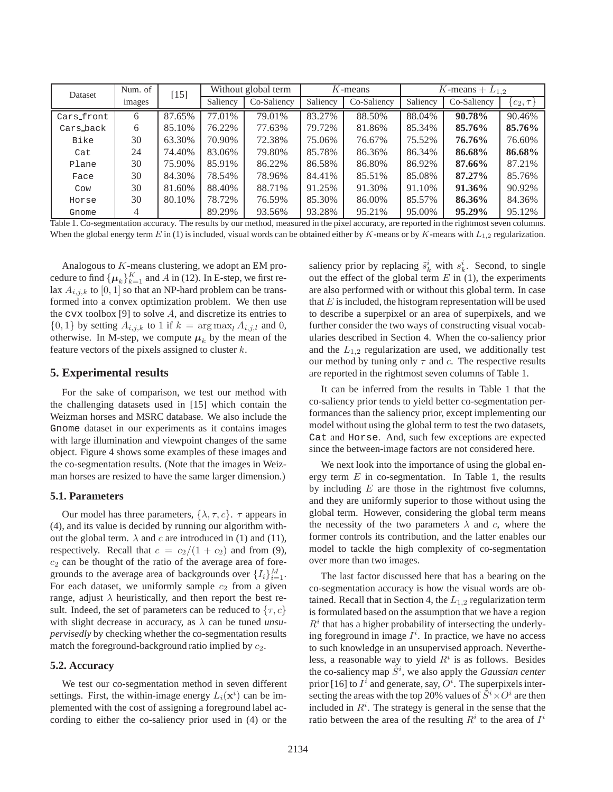| Dataset    | Num. of | 15]    | Without global term |             | $K$ -means |             | $\overline{K}$ -means + $L_{1,2}$ |             |             |
|------------|---------|--------|---------------------|-------------|------------|-------------|-----------------------------------|-------------|-------------|
|            | images  |        | Saliency            | Co-Saliency | Saliency   | Co-Saliency | Saliency                          | Co-Saliency | $c_2, \tau$ |
| Cars_front | 6       | 87.65% | 77.01%              | 79.01%      | 83.27%     | 88.50%      | 88.04%                            | 90.78%      | 90.46%      |
| Cars_back  | 6       | 85.10% | 76.22%              | 77.63%      | 79.72%     | 81.86%      | 85.34%                            | 85.76%      | 85.76%      |
| Bike       | 30      | 63.30% | 70.90%              | 72.38%      | 75.06%     | 76.67%      | 75.52%                            | 76.76%      | 76.60%      |
| Cat        | 24      | 74.40% | 83.06%              | 79.80%      | 85.78%     | 86.36%      | 86.34%                            | 86.68%      | 86.68%      |
| Plane      | 30      | 75.90% | 85.91%              | 86.22%      | 86.58%     | 86.80%      | 86.92%                            | 87.66%      | 87.21%      |
| Face       | 30      | 84.30% | 78.54%              | 78.96%      | 84.41%     | 85.51%      | 85.08%                            | 87.27%      | 85.76%      |
| Cow        | 30      | 81.60% | 88.40%              | 88.71%      | 91.25%     | 91.30%      | 91.10%                            | 91.36%      | 90.92%      |
| Horse      | 30      | 80.10% | 78.72%              | 76.59%      | 85.30%     | 86.00%      | 85.57%                            | 86.36%      | 84.36%      |
| Gnome      | 4       |        | 89.29%              | 93.56%      | 93.28%     | 95.21%      | 95.00%                            | 95.29%      | 95.12%      |

Table 1. Co-segmentation accuracy. The results by our method, measured in the pixel accuracy, are reported in the rightmost seven columns. When the global energy term E in (1) is included, visual words can be obtained either by K-means or by K-means with  $L_{1,2}$  regularization.

Analogous to K-means clustering, we adopt an EM procedure to find  $\{\boldsymbol{\mu}_k\}_{k=1}^K$  and A in (12). In E-step, we first relax  $A_{i,j,k}$  to [0, 1] so that an NP-hard problem can be transformed into a convex optimization problem. We then use the cvx toolbox [9] to solve  $A$ , and discretize its entries to  $\{0,1\}$  by setting  $A_{i,j,k}$  to 1 if  $k = \arg \max_{l} A_{i,j,l}$  and 0, otherwise. In M-step, we compute  $\mu_k$  by the mean of the feature vectors of the pixels assigned to cluster  $k$ .

## **5. Experimental results**

For the sake of comparison, we test our method with the challenging datasets used in [15] which contain the Weizman horses and MSRC database. We also include the Gnome dataset in our experiments as it contains images with large illumination and viewpoint changes of the same object. Figure 4 shows some examples of these images and the co-segmentation results. (Note that the images in Weizman horses are resized to have the same larger dimension.)

#### **5.1. Parameters**

Our model has three parameters,  $\{\lambda, \tau, c\}$ .  $\tau$  appears in (4), and its value is decided by running our algorithm without the global term.  $\lambda$  and c are introduced in (1) and (11), respectively. Recall that  $c = c_2/(1 + c_2)$  and from (9),  $c_2$  can be thought of the ratio of the average area of foregrounds to the average area of backgrounds over  $\{I_i\}_{i=1}^M$ . For each dataset, we uniformly sample  $c_2$  from a given range, adjust  $\lambda$  heuristically, and then report the best result. Indeed, the set of parameters can be reduced to  $\{\tau, c\}$ with slight decrease in accuracy, as  $\lambda$  can be tuned *unsupervisedly* by checking whether the co-segmentation results match the foreground-background ratio implied by  $c_2$ .

#### **5.2. Accuracy**

We test our co-segmentation method in seven different settings. First, the within-image energy  $L_i(\mathbf{x}^i)$  can be implemented with the cost of assigning a foreground label according to either the co-saliency prior used in (4) or the

saliency prior by replacing  $\tilde{s}_k^i$  with  $s_k^i$ . Second, to single out the effect of the global term  $E$  in (1), the experiments are also performed with or without this global term. In case that  $E$  is included, the histogram representation will be used to describe a superpixel or an area of superpixels, and we further consider the two ways of constructing visual vocabularies described in Section 4. When the co-saliency prior and the  $L_{1,2}$  regularization are used, we additionally test our method by tuning only  $\tau$  and  $c$ . The respective results are reported in the rightmost seven columns of Table 1.

It can be inferred from the results in Table 1 that the co-saliency prior tends to yield better co-segmentation performances than the saliency prior, except implementing our model without using the global term to test the two datasets, Cat and Horse. And, such few exceptions are expected since the between-image factors are not considered here.

We next look into the importance of using the global energy term  $E$  in co-segmentation. In Table 1, the results by including  $E$  are those in the rightmost five columns, and they are uniformly superior to those without using the global term. However, considering the global term means the necessity of the two parameters  $\lambda$  and c, where the former controls its contribution, and the latter enables our model to tackle the high complexity of co-segmentation over more than two images.

The last factor discussed here that has a bearing on the co-segmentation accuracy is how the visual words are obtained. Recall that in Section 4, the  $L_{1,2}$  regularization term is formulated based on the assumption that we have a region  $R<sup>i</sup>$  that has a higher probability of intersecting the underlying foreground in image  $I^i$ . In practice, we have no access to such knowledge in an unsupervised approach. Nevertheless, a reasonable way to yield  $R<sup>i</sup>$  is as follows. Besides the co-saliency map  $\tilde{S}^i$ , we also apply the *Gaussian center* prior [16] to  $I^i$  and generate, say,  $O^i$ . The superpixels intersecting the areas with the top 20% values of  $\tilde{S}^i \times O^i$  are then included in  $R<sup>i</sup>$ . The strategy is general in the sense that the ratio between the area of the resulting  $R<sup>i</sup>$  to the area of  $I<sup>i</sup>$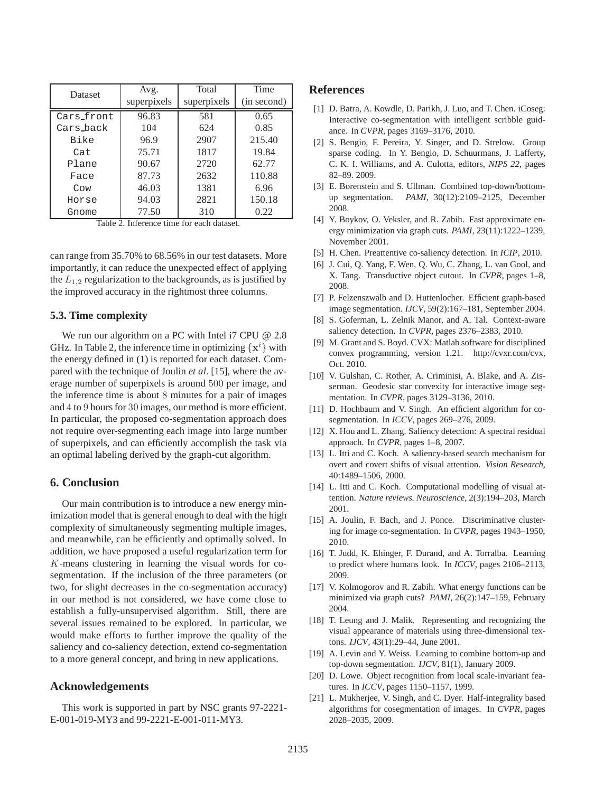| Dataset    | Avg.        | Total       | Time        |  |
|------------|-------------|-------------|-------------|--|
|            | superpixels | superpixels | (in second) |  |
| Cars_front | 96.83       | 581         | 0.65        |  |
| Cars back  | 104         | 624         | 0.85        |  |
| Bike       | 96.9        | 2907        | 215.40      |  |
| Cat        | 75.71       | 1817        | 19.84       |  |
| Plane      | 90.67       | 2720        | 62.77       |  |
| Face       | 87.73       | 2632        | 110.88      |  |
| Cow        | 46.03       | 1381        | 6.96        |  |
| Horse      | 94.03       | 2821        | 150.18      |  |
| Gnome      | 77.50       | 310         | 0.22        |  |

Table 2. Inference time for each dataset.

can range from 35.70% to 68.56% in our test datasets. More importantly, it can reduce the unexpected effect of applying the  $L_{1,2}$  regularization to the backgrounds, as is justified by the improved accuracy in the rightmost three columns.

#### **5.3. Time complexity**

We run our algorithm on a PC with Intel i7 CPU @ 2.8 GHz. In Table 2, the inference time in optimizing  $\{x^i\}$  with the energy defined in (1) is reported for each dataset. Compared with the technique of Joulin *et al*. [15], where the average number of superpixels is around 500 per image, and the inference time is about 8 minutes for a pair of images and 4 to 9 hours for 30 images, our method is more efficient. In particular, the proposed co-segmentation approach does not require over-segmenting each image into large number of superpixels, and can efficiently accomplish the task via an optimal labeling derived by the graph-cut algorithm.

#### **6. Conclusion**

Our main contribution is to introduce a new energy minimization model that is general enough to deal with the high complexity of simultaneously segmenting multiple images, and meanwhile, can be efficiently and optimally solved. In addition, we have proposed a useful regularization term for K-means clustering in learning the visual words for cosegmentation. If the inclusion of the three parameters (or two, for slight decreases in the co-segmentation accuracy) in our method is not considered, we have come close to establish a fully-unsupervised algorithm. Still, there are several issues remained to be explored. In particular, we would make efforts to further improve the quality of the saliency and co-saliency detection, extend co-segmentation to a more general concept, and bring in new applications.

## **Acknowledgements**

This work is supported in part by NSC grants 97-2221- E-001-019-MY3 and 99-2221-E-001-011-MY3.

## **References**

- [1] D. Batra, A. Kowdle, D. Parikh, J. Luo, and T. Chen. iCoseg: Interactive co-segmentation with intelligent scribble guidance. In *CVPR*, pages 3169–3176, 2010.
- [2] S. Bengio, F. Pereira, Y. Singer, and D. Strelow. Group sparse coding. In Y. Bengio, D. Schuurmans, J. Lafferty, C. K. I. Williams, and A. Culotta, editors, *NIPS 22*, pages 82–89. 2009.
- [3] E. Borenstein and S. Ullman. Combined top-down/bottomup segmentation. *PAMI*, 30(12):2109–2125, December 2008.
- [4] Y. Boykov, O. Veksler, and R. Zabih. Fast approximate energy minimization via graph cuts. *PAMI*, 23(11):1222–1239, November 2001.
- [5] H. Chen. Preattentive co-saliency detection. In *ICIP*, 2010.
- [6] J. Cui, Q. Yang, F. Wen, Q. Wu, C. Zhang, L. van Gool, and X. Tang. Transductive object cutout. In *CVPR*, pages 1–8, 2008.
- [7] P. Felzenszwalb and D. Huttenlocher. Efficient graph-based image segmentation. *IJCV*, 59(2):167–181, September 2004.
- [8] S. Goferman, L. Zelnik Manor, and A. Tal. Context-aware saliency detection. In *CVPR*, pages 2376–2383, 2010.
- [9] M. Grant and S. Boyd. CVX: Matlab software for disciplined convex programming, version 1.21. http://cvxr.com/cvx, Oct. 2010.
- [10] V. Gulshan, C. Rother, A. Criminisi, A. Blake, and A. Zisserman. Geodesic star convexity for interactive image segmentation. In *CVPR*, pages 3129–3136, 2010.
- [11] D. Hochbaum and V. Singh. An efficient algorithm for cosegmentation. In *ICCV*, pages 269–276, 2009.
- [12] X. Hou and L. Zhang. Saliency detection: A spectral residual approach. In *CVPR*, pages 1–8, 2007.
- [13] L. Itti and C. Koch. A saliency-based search mechanism for overt and covert shifts of visual attention. *Vision Research*, 40:1489–1506, 2000.
- [14] L. Itti and C. Koch. Computational modelling of visual attention. *Nature reviews. Neuroscience*, 2(3):194–203, March 2001.
- [15] A. Joulin, F. Bach, and J. Ponce. Discriminative clustering for image co-segmentation. In *CVPR*, pages 1943–1950, 2010.
- [16] T. Judd, K. Ehinger, F. Durand, and A. Torralba. Learning to predict where humans look. In *ICCV*, pages 2106–2113, 2009.
- [17] V. Kolmogorov and R. Zabih. What energy functions can be minimized via graph cuts? *PAMI*, 26(2):147–159, February 2004.
- [18] T. Leung and J. Malik. Representing and recognizing the visual appearance of materials using three-dimensional textons. *IJCV*, 43(1):29–44, June 2001.
- [19] A. Levin and Y. Weiss. Learning to combine bottom-up and top-down segmentation. *IJCV*, 81(1), January 2009.
- [20] D. Lowe. Object recognition from local scale-invariant features. In *ICCV*, pages 1150–1157, 1999.
- [21] L. Mukherjee, V. Singh, and C. Dyer. Half-integrality based algorithms for cosegmentation of images. In *CVPR*, pages 2028–2035, 2009.